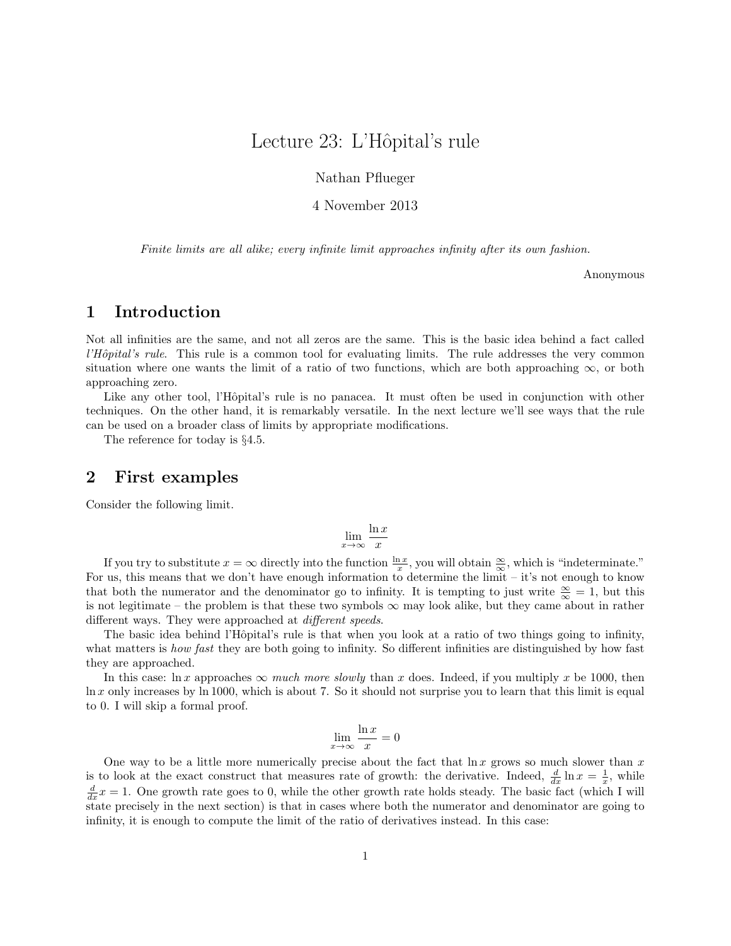# Lecture 23: L'Hôpital's rule

Nathan Pflueger

4 November 2013

Finite limits are all alike; every infinite limit approaches infinity after its own fashion.

Anonymous

### 1 Introduction

Not all infinities are the same, and not all zeros are the same. This is the basic idea behind a fact called  $l'Hôpital's rule$ . This rule is a common tool for evaluating limits. The rule addresses the very common situation where one wants the limit of a ratio of two functions, which are both approaching  $\infty$ , or both approaching zero.

Like any other tool, l'Hôpital's rule is no panacea. It must often be used in conjunction with other techniques. On the other hand, it is remarkably versatile. In the next lecture we'll see ways that the rule can be used on a broader class of limits by appropriate modifications.

The reference for today is §4.5.

### 2 First examples

Consider the following limit.

$$
\lim_{x \to \infty} \frac{\ln x}{x}
$$

If you try to substitute  $x = \infty$  directly into the function  $\frac{\ln x}{x}$ , you will obtain  $\frac{\infty}{\infty}$ , which is "indeterminate." For us, this means that we don't have enough information to determine the limit – it's not enough to know that both the numerator and the denominator go to infinity. It is tempting to just write  $\frac{\infty}{\infty} = 1$ , but this is not legitimate – the problem is that these two symbols  $\infty$  may look alike, but they came about in rather different ways. They were approached at *different speeds*.

The basic idea behind l'Hôpital's rule is that when you look at a ratio of two things going to infinity, what matters is *how fast* they are both going to infinity. So different infinities are distinguished by how fast they are approached.

In this case: ln x approaches  $\infty$  much more slowly than x does. Indeed, if you multiply x be 1000, then  $\ln x$  only increases by ln 1000, which is about 7. So it should not surprise you to learn that this limit is equal to 0. I will skip a formal proof.

$$
\lim_{x \to \infty} \frac{\ln x}{x} = 0
$$

One way to be a little more numerically precise about the fact that  $\ln x$  grows so much slower than x is to look at the exact construct that measures rate of growth: the derivative. Indeed,  $\frac{d}{dx} \ln x = \frac{1}{x}$ , while  $\frac{d}{dx}x = 1$ . One growth rate goes to 0, while the other growth rate holds steady. The basic fact (which I will state precisely in the next section) is that in cases where both the numerator and denominator are going to infinity, it is enough to compute the limit of the ratio of derivatives instead. In this case: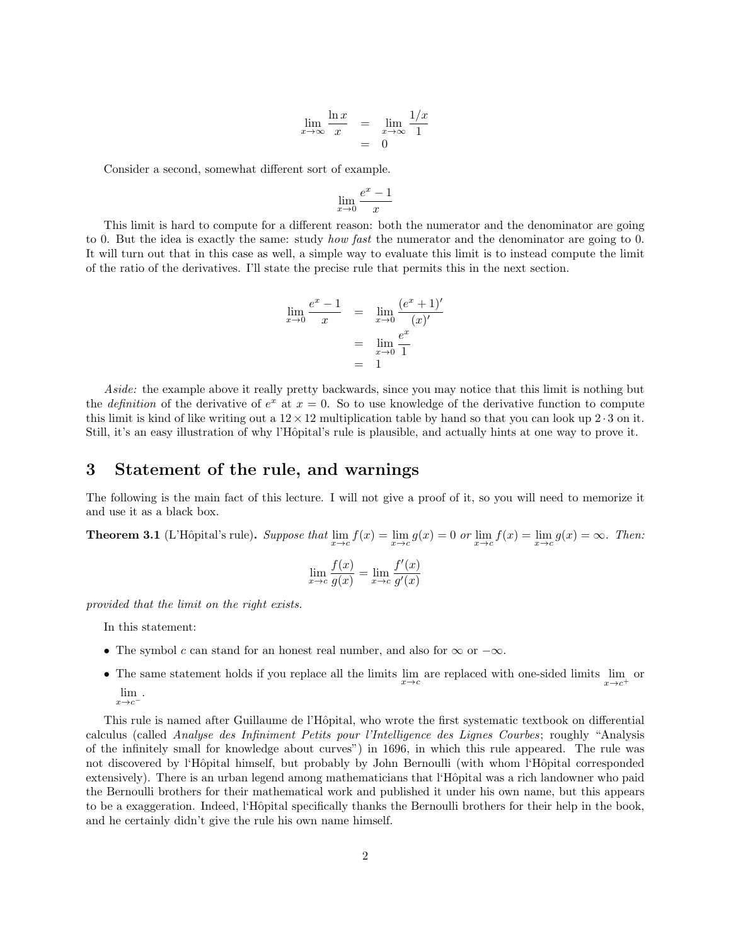$$
\lim_{x \to \infty} \frac{\ln x}{x} = \lim_{x \to \infty} \frac{1/x}{1}
$$

$$
= 0
$$

Consider a second, somewhat different sort of example.

$$
\lim_{x \to 0} \frac{e^x - 1}{x}
$$

This limit is hard to compute for a different reason: both the numerator and the denominator are going to 0. But the idea is exactly the same: study *how fast* the numerator and the denominator are going to 0. It will turn out that in this case as well, a simple way to evaluate this limit is to instead compute the limit of the ratio of the derivatives. I'll state the precise rule that permits this in the next section.

$$
\lim_{x \to 0} \frac{e^x - 1}{x} = \lim_{x \to 0} \frac{(e^x + 1)'}{(x)'}\n= \lim_{x \to 0} \frac{e^x}{1}\n= 1
$$

Aside: the example above it really pretty backwards, since you may notice that this limit is nothing but the *definition* of the derivative of  $e^x$  at  $x = 0$ . So to use knowledge of the derivative function to compute this limit is kind of like writing out a  $12 \times 12$  multiplication table by hand so that you can look up 2  $\cdot$  3 on it. Still, it's an easy illustration of why l'Hôpital's rule is plausible, and actually hints at one way to prove it.

#### 3 Statement of the rule, and warnings

The following is the main fact of this lecture. I will not give a proof of it, so you will need to memorize it and use it as a black box.

**Theorem 3.1** (L'Hôpital's rule). Suppose that  $\lim_{x\to c} f(x) = \lim_{x\to c} g(x) = 0$  or  $\lim_{x\to c} f(x) = \lim_{x\to c} g(x) = \infty$ . Then:

$$
\lim_{x \to c} \frac{f(x)}{g(x)} = \lim_{x \to c} \frac{f'(x)}{g'(x)}
$$

provided that the limit on the right exists.

In this statement:

- The symbol c can stand for an honest real number, and also for  $\infty$  or  $-\infty$ .
- The same statement holds if you replace all the limits  $\lim_{x\to c}$  are replaced with one-sided limits  $\lim_{x\to c^+}$  or lim  $x \rightarrow c$ .

This rule is named after Guillaume de l'Hôpital, who wrote the first systematic textbook on differential calculus (called Analyse des Infiniment Petits pour l'Intelligence des Lignes Courbes; roughly "Analysis of the infinitely small for knowledge about curves") in 1696, in which this rule appeared. The rule was not discovered by l'Hôpital himself, but probably by John Bernoulli (with whom l'Hôpital corresponded extensively). There is an urban legend among mathematicians that l'Hôpital was a rich landowner who paid the Bernoulli brothers for their mathematical work and published it under his own name, but this appears to be a exaggeration. Indeed, l'Hôpital specifically thanks the Bernoulli brothers for their help in the book, and he certainly didn't give the rule his own name himself.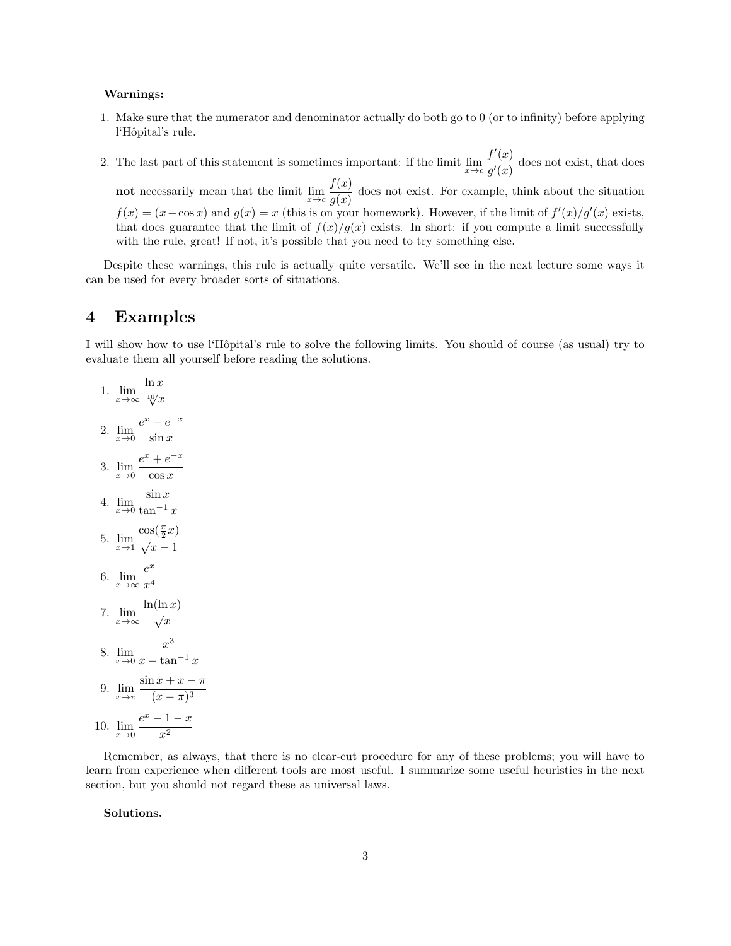#### Warnings:

- 1. Make sure that the numerator and denominator actually do both go to 0 (or to infinity) before applying l'Hôpital's rule.
- 2. The last part of this statement is sometimes important: if the limit  $\lim_{x\to c}\frac{f'(x)}{q'(x)}$  $\frac{f(x)}{g'(x)}$  does not exist, that does

**not** necessarily mean that the limit  $\lim_{x \to c} \frac{f(x)}{q(x)}$  $\frac{g(x)}{g(x)}$  does not exist. For example, think about the situation  $f(x) = (x - \cos x)$  and  $g(x) = x$  (this is on your homework). However, if the limit of  $f'(x)/g'(x)$  exists, that does guarantee that the limit of  $f(x)/g(x)$  exists. In short: if you compute a limit successfully with the rule, great! If not, it's possible that you need to try something else.

Despite these warnings, this rule is actually quite versatile. We'll see in the next lecture some ways it can be used for every broader sorts of situations.

### 4 Examples

I will show how to use l'Hˆopital's rule to solve the following limits. You should of course (as usual) try to evaluate them all yourself before reading the solutions.

1. 
$$
\lim_{x \to \infty} \frac{\ln x}{\sqrt[12]{x}}
$$
  
\n2. 
$$
\lim_{x \to 0} \frac{e^x - e^{-x}}{\sin x}
$$
  
\n3. 
$$
\lim_{x \to 0} \frac{e^x + e^{-x}}{\cos x}
$$
  
\n4. 
$$
\lim_{x \to 0} \frac{\sin x}{\cos x}
$$
  
\n5. 
$$
\lim_{x \to 1} \frac{\cos(\frac{\pi}{2}x)}{\sqrt{x} - 1}
$$
  
\n6. 
$$
\lim_{x \to \infty} \frac{e^x}{x^4}
$$
  
\n7. 
$$
\lim_{x \to \infty} \frac{\ln(\ln x)}{\sqrt{x}}
$$
  
\n8. 
$$
\lim_{x \to 0} \frac{x^3}{x - \tan^{-1} x}
$$
  
\n9. 
$$
\lim_{x \to \pi} \frac{\sin x + x - \pi}{(x - \pi)^3}
$$
  
\n10. 
$$
\lim_{x \to 0} \frac{e^x - 1 - x}{x^2}
$$

Remember, as always, that there is no clear-cut procedure for any of these problems; you will have to learn from experience when different tools are most useful. I summarize some useful heuristics in the next section, but you should not regard these as universal laws.

Solutions.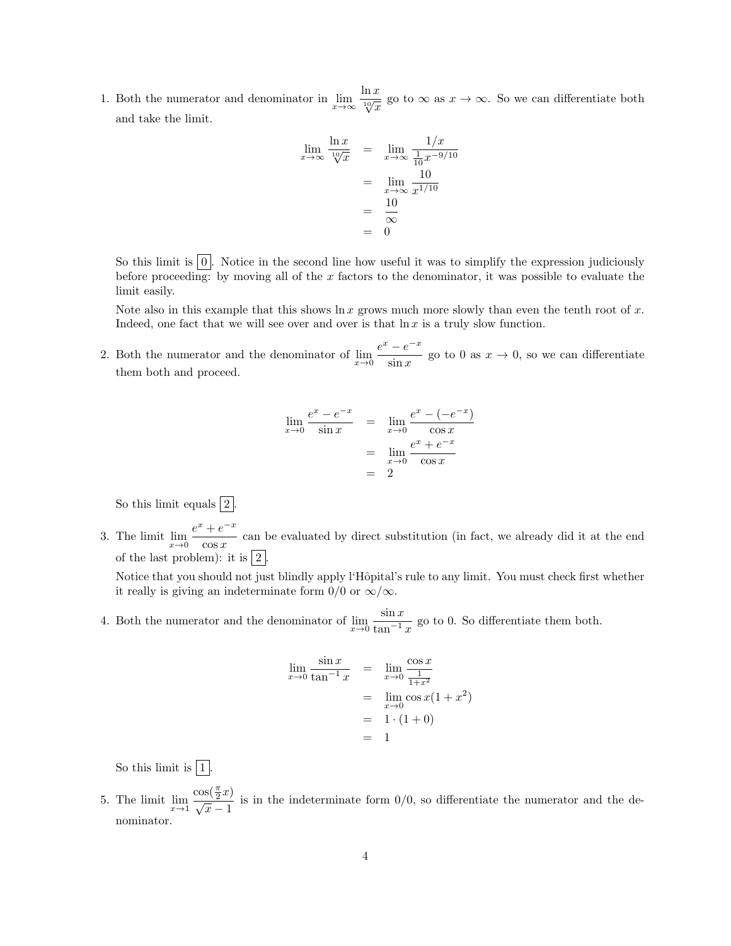1. Both the numerator and denominator in  $\lim_{x\to\infty} \frac{\ln x}{\sqrt[10]{x}}$  go to  $\infty$  as  $x\to\infty$ . So we can differentiate both and take the limit.

$$
\lim_{x \to \infty} \frac{\ln x}{\sqrt[10]{x}} = \lim_{x \to \infty} \frac{1/x}{\frac{1}{10}x^{-9/10}}
$$

$$
= \lim_{x \to \infty} \frac{10}{x^{1/10}}
$$

$$
= \frac{10}{\infty}
$$

$$
= 0
$$

So this limit is  $\boxed{0}$ . Notice in the second line how useful it was to simplify the expression judiciously before proceeding: by moving all of the x factors to the denominator, it was possible to evaluate the limit easily.

Note also in this example that this shows  $\ln x$  grows much more slowly than even the tenth root of x. Indeed, one fact that we will see over and over is that  $\ln x$  is a truly slow function.

2. Both the numerator and the denominator of  $\lim_{x\to 0} \frac{e^x - e^{-x}}{\sin x}$  $\frac{c}{\sin x}$  go to 0 as  $x \to 0$ , so we can differentiate them both and proceed.

$$
\lim_{x \to 0} \frac{e^x - e^{-x}}{\sin x} = \lim_{x \to 0} \frac{e^x - (-e^{-x})}{\cos x}
$$

$$
= \lim_{x \to 0} \frac{e^x + e^{-x}}{\cos x}
$$

$$
= 2
$$

So this limit equals  $2$ .

3. The limit  $\lim_{x \to 0} \frac{e^x + e^{-x}}{\cos x}$  $\frac{1}{\cos x}$  can be evaluated by direct substitution (in fact, we already did it at the end of the last problem): it is  $|2|$ .

Notice that you should not just blindly apply l'Hôpital's rule to any limit. You must check first whether it really is giving an indeterminate form 0/0 or  $\infty/\infty$ .

4. Both the numerator and the denominator of  $\lim_{x\to 0} \frac{\sin x}{\tan^{-1}}$  $\frac{\sin x}{\tan^{-1} x}$  go to 0. So differentiate them both.

$$
\lim_{x \to 0} \frac{\sin x}{\tan^{-1} x} = \lim_{x \to 0} \frac{\cos x}{\frac{1}{1 + x^2}}
$$
  
= 
$$
\lim_{x \to 0} \cos x (1 + x^2)
$$
  
= 
$$
1 \cdot (1 + 0)
$$
  
= 1

So this limit is  $\boxed{1}$ .

5. The limit  $\lim_{x\to 1}$  $\frac{\cos(\frac{\pi}{2}x)}{\sqrt{x}-1}$  is in the indeterminate form 0/0, so differentiate the numerator and the denominator.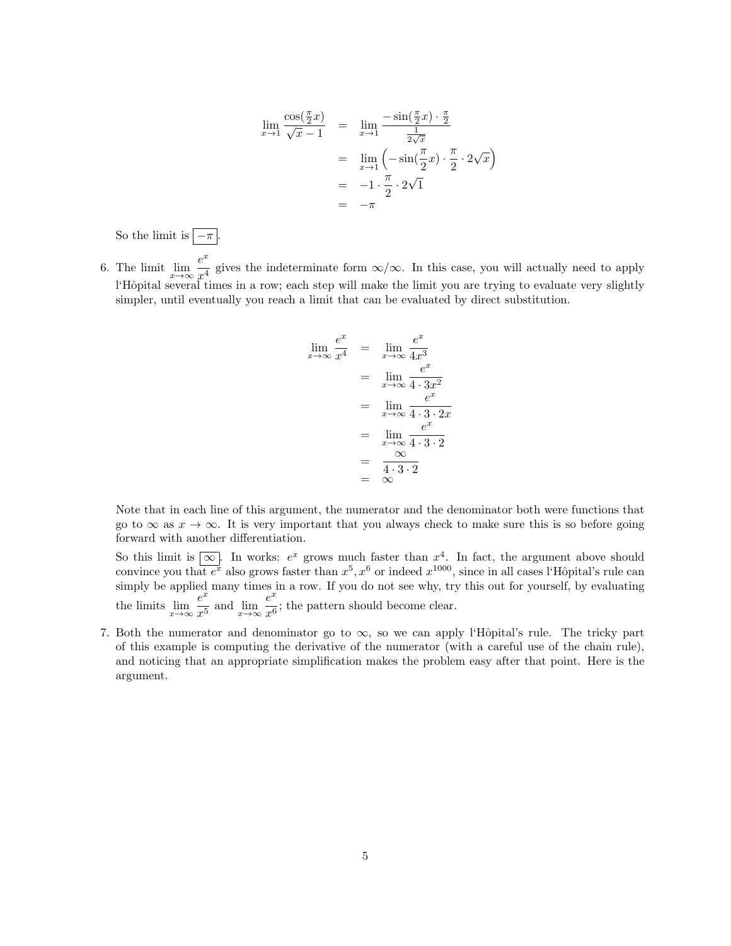$$
\lim_{x \to 1} \frac{\cos(\frac{\pi}{2}x)}{\sqrt{x} - 1} = \lim_{x \to 1} \frac{-\sin(\frac{\pi}{2}x) \cdot \frac{\pi}{2}}{\frac{1}{2\sqrt{x}}}
$$

$$
= \lim_{x \to 1} \left( -\sin(\frac{\pi}{2}x) \cdot \frac{\pi}{2} \cdot 2\sqrt{x} \right)
$$

$$
= -1 \cdot \frac{\pi}{2} \cdot 2\sqrt{1}
$$

$$
= -\pi
$$

So the limit is  $\boxed{-\pi}$ .

6. The limit  $\lim_{x \to \infty} \frac{e^x}{x^4}$  $\frac{c}{x^4}$  gives the indeterminate form  $\infty/\infty$ . In this case, you will actually need to apply l'Hôpital several times in a row; each step will make the limit you are trying to evaluate very slightly simpler, until eventually you reach a limit that can be evaluated by direct substitution.

$$
\lim_{x \to \infty} \frac{e^x}{x^4} = \lim_{x \to \infty} \frac{e^x}{4x^3}
$$
\n
$$
= \lim_{x \to \infty} \frac{e^x}{4 \cdot 3x^2}
$$
\n
$$
= \lim_{x \to \infty} \frac{e^x}{4 \cdot 3 \cdot 2x}
$$
\n
$$
= \lim_{x \to \infty} \frac{e^x}{4 \cdot 3 \cdot 2}
$$
\n
$$
= \frac{\infty}{4 \cdot 3 \cdot 2}
$$
\n
$$
= \infty
$$

Note that in each line of this argument, the numerator and the denominator both were functions that go to  $\infty$  as  $x \to \infty$ . It is very important that you always check to make sure this is so before going forward with another differentiation.

- So this limit is  $\boxed{\infty}$ . In works:  $e^x$  grows much faster than  $x^4$ . In fact, the argument above should convince you that  $e^x$  also grows faster than  $x^5, x^6$  or indeed  $x^{1000}$ , since in all cases l'Hôpital's rule can simply be applied many times in a row. If you do not see why, try this out for yourself, by evaluating the limits  $\lim_{x\to\infty} \frac{e^x}{x^5}$  $\frac{e^x}{x^5}$  and  $\lim_{x \to \infty} \frac{e^x}{x^6}$  $\frac{6}{x^6}$ ; the pattern should become clear.
- 7. Both the numerator and denominator go to  $\infty$ , so we can apply l'Hôpital's rule. The tricky part of this example is computing the derivative of the numerator (with a careful use of the chain rule), and noticing that an appropriate simplification makes the problem easy after that point. Here is the argument.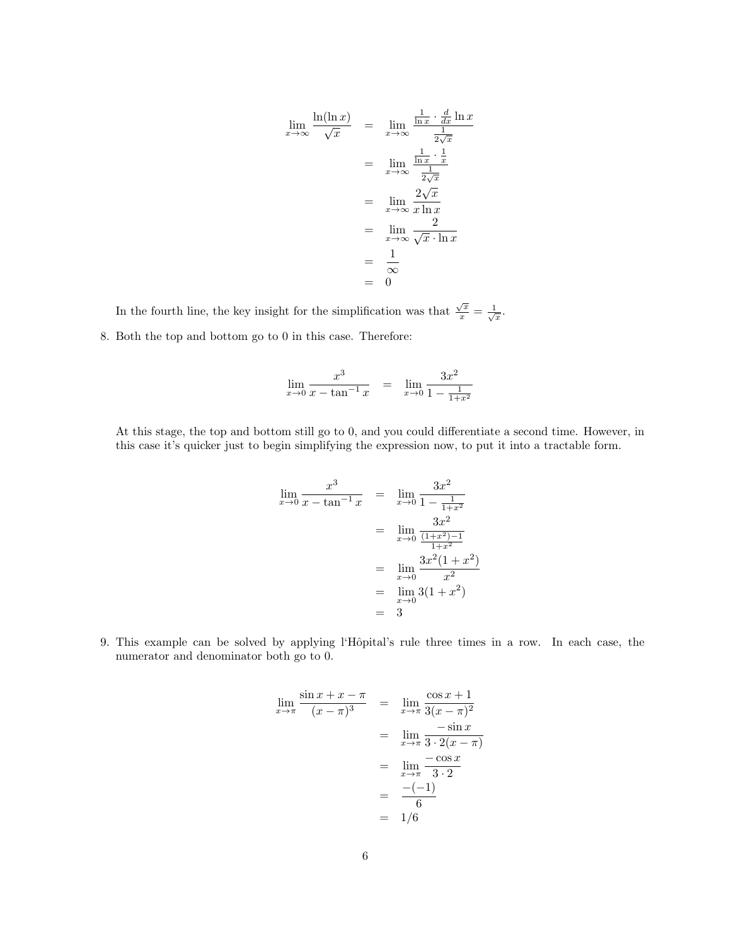$$
\lim_{x \to \infty} \frac{\ln(\ln x)}{\sqrt{x}} = \lim_{x \to \infty} \frac{\frac{1}{\ln x} \cdot \frac{d}{dx} \ln x}{\frac{1}{2\sqrt{x}}}
$$

$$
= \lim_{x \to \infty} \frac{\frac{1}{\ln x} \cdot \frac{1}{x}}{\frac{1}{2\sqrt{x}}}
$$

$$
= \lim_{x \to \infty} \frac{2\sqrt{x}}{x \ln x}
$$

$$
= \lim_{x \to \infty} \frac{2}{\sqrt{x} \cdot \ln x}
$$

$$
= \frac{1}{\infty}
$$

$$
= 0
$$

In the fourth line, the key insight for the simplification was that  $\frac{\sqrt{x}}{x} = \frac{1}{\sqrt{x}}$ . 8. Both the top and bottom go to 0 in this case. Therefore:

$$
\lim_{x \to 0} \frac{x^3}{x - \tan^{-1} x} = \lim_{x \to 0} \frac{3x^2}{1 - \frac{1}{1 + x^2}}
$$

At this stage, the top and bottom still go to 0, and you could differentiate a second time. However, in this case it's quicker just to begin simplifying the expression now, to put it into a tractable form.

$$
\lim_{x \to 0} \frac{x^3}{x - \tan^{-1} x} = \lim_{x \to 0} \frac{3x^2}{1 - \frac{1}{1 + x^2}}
$$
  
= 
$$
\lim_{x \to 0} \frac{3x^2}{\frac{(1 + x^2) - 1}{1 + x^2}}
$$
  
= 
$$
\lim_{x \to 0} \frac{3x^2 (1 + x^2)}{x^2}
$$
  
= 
$$
\lim_{x \to 0} 3(1 + x^2)
$$
  
= 3

9. This example can be solved by applying l'Hôpital's rule three times in a row. In each case, the numerator and denominator both go to 0.

$$
\lim_{x \to \pi} \frac{\sin x + x - \pi}{(x - \pi)^3} = \lim_{x \to \pi} \frac{\cos x + 1}{3(x - \pi)^2}
$$
  
= 
$$
\lim_{x \to \pi} \frac{-\sin x}{3 \cdot 2(x - \pi)}
$$
  
= 
$$
\lim_{x \to \pi} \frac{-\cos x}{3 \cdot 2}
$$
  
= 
$$
\frac{-(-1)}{6}
$$
  
= 1/6